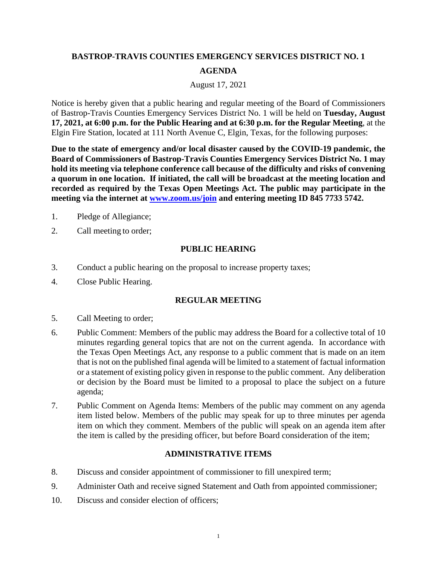# **BASTROP-TRAVIS COUNTIES EMERGENCY SERVICES DISTRICT NO. 1 AGENDA**

#### August 17, 2021

Notice is hereby given that a public hearing and regular meeting of the Board of Commissioners of Bastrop-Travis Counties Emergency Services District No. 1 will be held on **Tuesday, August 17, 2021, at 6:00 p.m. for the Public Hearing and at 6:30 p.m. for the Regular Meeting**, at the Elgin Fire Station, located at 111 North Avenue C, Elgin, Texas, for the following purposes:

**Due to the state of emergency and/or local disaster caused by the COVID-19 pandemic, the Board of Commissioners of Bastrop-Travis Counties Emergency Services District No. 1 may hold its meeting via telephone conference call because of the difficulty and risks of convening a quorum in one location. If initiated, the call will be broadcast at the meeting location and recorded as required by the Texas Open Meetings Act. The public may participate in the meeting via the internet at www.zoom.us/join and entering meeting ID 845 7733 5742.** 

- 1. Pledge of Allegiance;
- 2. Call meeting to order;

## **PUBLIC HEARING**

- 3. Conduct a public hearing on the proposal to increase property taxes;
- 4. Close Public Hearing.

## **REGULAR MEETING**

- 5. Call Meeting to order;
- 6. Public Comment: Members of the public may address the Board for a collective total of 10 minutes regarding general topics that are not on the current agenda. In accordance with the Texas Open Meetings Act, any response to a public comment that is made on an item that is not on the published final agenda will be limited to a statement of factual information or a statement of existing policy given in response to the public comment. Any deliberation or decision by the Board must be limited to a proposal to place the subject on a future agenda;
- 7. Public Comment on Agenda Items: Members of the public may comment on any agenda item listed below. Members of the public may speak for up to three minutes per agenda item on which they comment. Members of the public will speak on an agenda item after the item is called by the presiding officer, but before Board consideration of the item;

## **ADMINISTRATIVE ITEMS**

- 8. Discuss and consider appointment of commissioner to fill unexpired term;
- 9. Administer Oath and receive signed Statement and Oath from appointed commissioner;
- 10. Discuss and consider election of officers;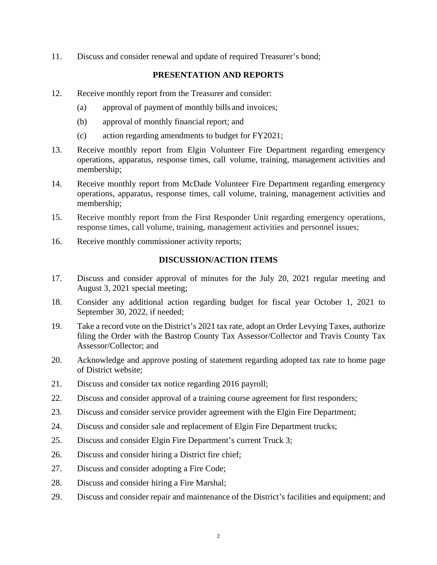11. Discuss and consider renewal and update of required Treasurer's bond;

## **PRESENTATION AND REPORTS**

- 12. Receive monthly report from the Treasurer and consider:
	- (a) approval of payment of monthly bills and invoices;
	- (b) approval of monthly financial report; and
	- (c) action regarding amendments to budget for FY2021;
- 13. Receive monthly report from Elgin Volunteer Fire Department regarding emergency operations, apparatus, response times, call volume, training, management activities and membership;
- 14. Receive monthly report from McDade Volunteer Fire Department regarding emergency operations, apparatus, response times, call volume, training, management activities and membership;
- 15. Receive monthly report from the First Responder Unit regarding emergency operations, response times, call volume, training, management activities and personnel issues;
- 16. Receive monthly commissioner activity reports;

## **DISCUSSION/ACTION ITEMS**

- 17. Discuss and consider approval of minutes for the July 20, 2021 regular meeting and August 3, 2021 special meeting;
- 18. Consider any additional action regarding budget for fiscal year October 1, 2021 to September 30, 2022, if needed;
- 19. Take a record vote on the District's 2021 tax rate, adopt an Order Levying Taxes, authorize filing the Order with the Bastrop County Tax Assessor/Collector and Travis County Tax Assessor/Collector; and
- 20. Acknowledge and approve posting of statement regarding adopted tax rate to home page of District website;
- 21. Discuss and consider tax notice regarding 2016 payroll;
- 22. Discuss and consider approval of a training course agreement for first responders;
- 23. Discuss and consider service provider agreement with the Elgin Fire Department;
- 24. Discuss and consider sale and replacement of Elgin Fire Department trucks;
- 25. Discuss and consider Elgin Fire Department's current Truck 3;
- 26. Discuss and consider hiring a District fire chief;
- 27. Discuss and consider adopting a Fire Code;
- 28. Discuss and consider hiring a Fire Marshal;
- 29. Discuss and consider repair and maintenance of the District's facilities and equipment; and